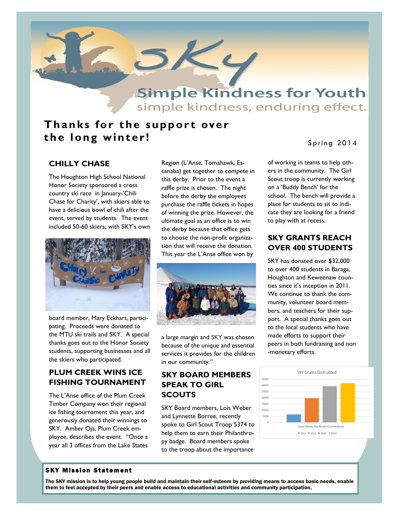

## **Thanks for the support over** the long winter!

#### Spring 2014

## **CHILLY CHASE**

The Houghton High School National Honor Society sponsored a cross country ski race in January-'Chili Chase for Charity', with skiers able to have a delicious bowl of chili after the event, served by students. The event included 50-60 skiers, with SKY's own



board member, Mary Eckhart, participating. Proceeds were donated to the MTU ski trails and SKY. A special thanks goes out to the Honor Society students, supporting businesses and all the skiers who participated.

#### **PLUM CREEK WINS ICE FISHING TOURNAMENT**

The L'Anse office of the Plum Creek Timber Company won their regional ice fishing tournament this year, and generously donated their winnings to SKY. Amber Oja, Plum Creek employee, describes the event. "Once a year all 3 offices from the Lake States Region (L'Anse, Tomahawk, Escanaba) get together to compete in this derby. Prior to the event a raffle prize is chosen. The night before the derby the employees purchase the raffle tickets in hopes of winning the prize. However, the ultimate goal as an office is to win the derby because that office gets to choose the non-profit organization that will receive the donation. This year the L'Anse office won by



a large margin and SKY was chosen because of the unique and essential services it provides for the children in our community."

#### **SKY BOARD MEMBERS SPEAK TO GIRL SCOUTS**

SKY Board members, Lois Weber and Lynnette Borree, recently spoke to Girl Scout Troop 5374 to help them to earn their Philanthropy badge. Board members spoke to the troop about the importance

of working in teams to help others in the community. The Girl Scout troop is currently working on a 'Buddy Bench' for the school. The bench will provide a place for students to sit to indicate they are looking for a friend to play with at recess.

## **SKY GRANTS REACH OVER 400 STUDENTS**

SKY has donated over \$32,000 to over 400 students in Baraga, Houghton and Keweenaw counties since it's inception in 2011. We continue to thank the community, volunteer board members, and teachers for their support. A special thanks goes out to the local students who have made efforts to support their peers in both fundraising and non -monetary efforts.



#### **SKY Mission Statement**

The SKY mission is to help young people build and maintain their self-esteem by providing means to access basic needs, enable them to feel accepted by their peers and enable access to educational activities and community participation.